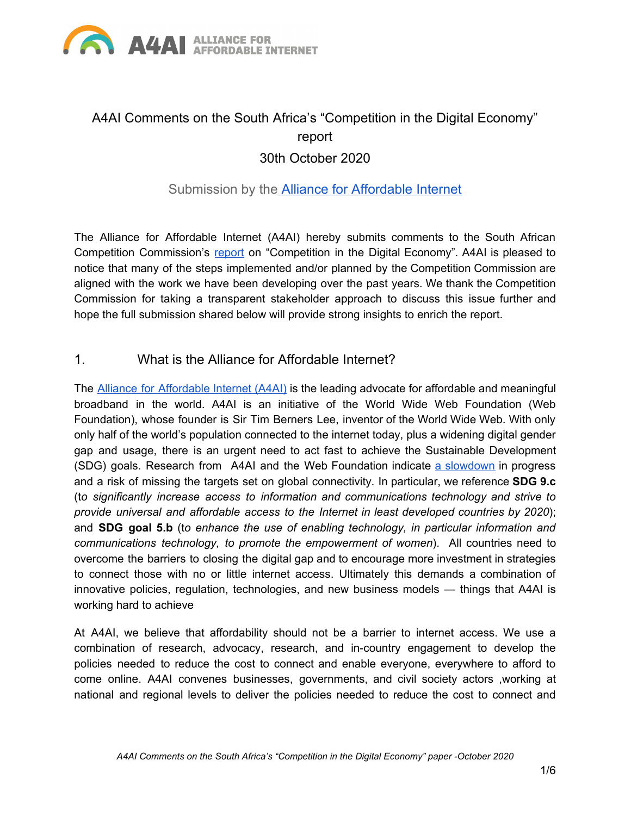

# A4AI Comments on the South Africa's "Competition in the Digital Economy" report 30th October 2020

# Submission by the Alliance for [Affordable](http://a4ai.org/) Internet

The Alliance for Affordable Internet (A4AI) hereby submits comments to the South African Competition Commission's [report](http://www.compcom.co.za/wp-content/uploads/2020/09/Competition-in-the-digital-economy_7-September-2020.pdf) on "Competition in the Digital Economy". A4AI is pleased to notice that many of the steps implemented and/or planned by the Competition Commission are aligned with the work we have been developing over the past years. We thank the Competition Commission for taking a transparent stakeholder approach to discuss this issue further and hope the full submission shared below will provide strong insights to enrich the report.

#### 1. What is the Alliance for Affordable Internet?

The Alliance for [Affordable](http://www.a4ai.org/) Internet (A4AI) is the leading advocate for affordable and meaningful broadband in the world. A4AI is an initiative of the World Wide Web Foundation (Web Foundation), whose founder is Sir Tim Berners Lee, inventor of the World Wide Web. With only only half of the world's population connected to the internet today, plus a widening digital gender gap and usage, there is an urgent need to act fast to achieve the Sustainable Development (SDG) goals. Research from A4AI and the Web Foundation indicate a [slowdown](https://a4ai.org/as-internet-access-proves-critical-we-are-missing-targets-to-connect-everyone/) in progress and a risk of missing the targets set on global connectivity. In particular, we reference **SDG 9.c** (t*o significantly increase access to information and communications technology and strive to provide universal and affordable access to the Internet in least developed countries by 2020*); and **SDG goal 5.b** (t*o enhance the use of enabling technology, in particular information and communications technology, to promote the empowerment of women*). All countries need to overcome the barriers to closing the digital gap and to encourage more investment in strategies to connect those with no or little internet access. Ultimately this demands a combination of innovative policies, regulation, technologies, and new business models — things that A4AI is working hard to achieve

At A4AI, we believe that affordability should not be a barrier to internet access. We use a combination of research, advocacy, research, and in-country engagement to develop the policies needed to reduce the cost to connect and enable everyone, everywhere to afford to come online. A4AI convenes businesses, governments, and civil society actors ,working at national and regional levels to deliver the policies needed to reduce the cost to connect and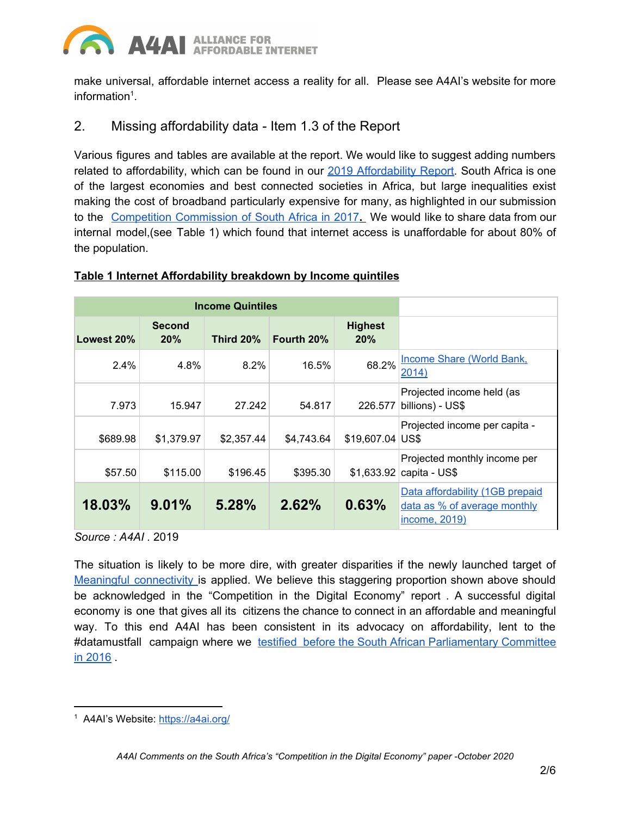#### A4A **ALLIANCE FOR AFFORDABLE INTERNET**

make universal, affordable internet access a reality for all. Please see A4AI's website for more information $1$ .

# 2. Missing affordability data - Item 1.3 of the Report

Various figures and tables are available at the report. We would like to suggest adding numbers related to affordability, which can be found in our 2019 [Affordability](https://a4ai.org/affordability-report/report/2019/) Report. South Africa is one of the largest economies and best connected societies in Africa, but large inequalities exist making the cost of broadband particularly expensive for many, as highlighted in our submission to the Competition [Commission](https://1e8q3q16vyc81g8l3h3md6q5f5e-wpengine.netdna-ssl.com/wp-content/uploads/2017/11/A4AI-Submission-to-the-Competition-Commission-of-South-Africa.pdf) of South Africa in 2017**.** We would like to share data from our internal model,(see Table 1) which found that internet access is unaffordable for about 80% of the population.

#### **Table 1 Internet Affordability breakdown by Income quintiles**

| <b>Income Quintiles</b> |                      |                  |            |                       |                                                                                  |
|-------------------------|----------------------|------------------|------------|-----------------------|----------------------------------------------------------------------------------|
| Lowest 20%              | <b>Second</b><br>20% | <b>Third 20%</b> | Fourth 20% | <b>Highest</b><br>20% |                                                                                  |
| 2.4%                    | 4.8%                 | $8.2\%$          | 16.5%      | 68.2%                 | <b>Income Share (World Bank,</b><br>2014)                                        |
| 7.973                   | 15.947               | 27.242           | 54.817     | 226,577               | Projected income held (as<br>billions) - US\$                                    |
| \$689.98                | \$1,379.97           | \$2,357.44       | \$4,743.64 | \$19,607.04           | Projected income per capita -<br>US\$                                            |
| \$57.50                 | \$115.00             | \$196.45         | \$395.30   | \$1,633.92            | Projected monthly income per<br>capita - US\$                                    |
| 18.03%                  | 9.01%                | 5.28%            | 2.62%      | 0.63%                 | Data affordability (1GB prepaid<br>data as % of average monthly<br>income, 2019) |

*Source : A4AI .* 2019

The situation is likely to be more dire, with greater disparities if the newly launched target of Meaningful [connectivity](https://a4ai.org/meaningful-connectivity/) is applied. We believe this staggering proportion shown above should be acknowledged in the "Competition in the Digital Economy" report . A successful digital economy is one that gives all its citizens the chance to connect in an affordable and meaningful way. To this end A4AI has been consistent in its advocacy on affordability, lent to the #datamustfall campaign where we testified before the South African [Parliamentary](https://a4ai.org/is-internet-access-in-south-africa-affordable-no-a4ai-tells-parliament/) Committee in [2016](https://a4ai.org/is-internet-access-in-south-africa-affordable-no-a4ai-tells-parliament/) .

<sup>1</sup> A4AI's Website: <https://a4ai.org/>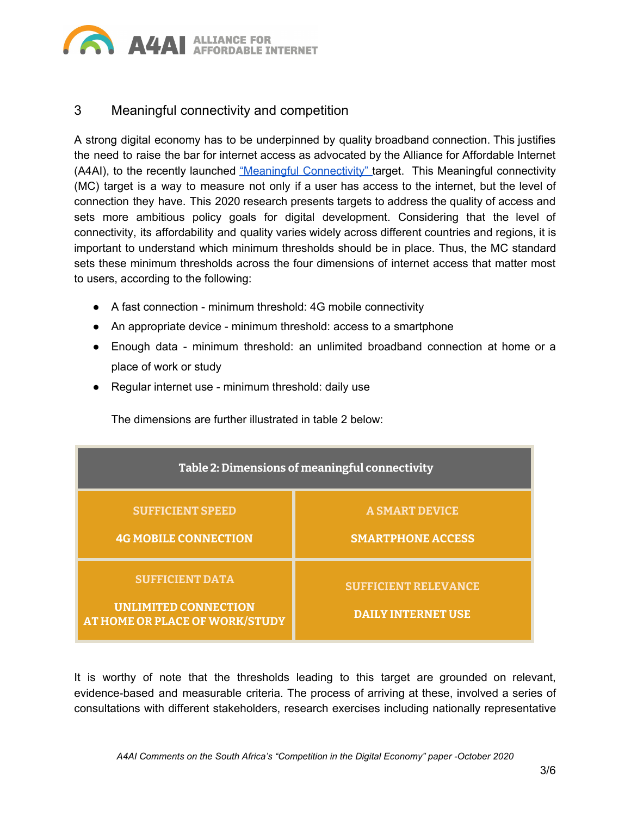

### 3 Meaningful connectivity and competition

A strong digital economy has to be underpinned by quality broadband connection. This justifies the need to raise the bar for internet access as advocated by the Alliance for Affordable Internet (A4AI), to the recently launched "Meaningful [Connectivity"](https://docs.google.com/document/d/1qydsmTY4hln3pP4dWJbCSRFna8SfDYAtGfacKYwhVk8/edit) target. This Meaningful connectivity (MC) target is a way to measure not only if a user has access to the internet, but the level of connection they have. This 2020 research presents targets to address the quality of access and sets more ambitious policy goals for digital development. Considering that the level of connectivity, its affordability and quality varies widely across different countries and regions, it is important to understand which minimum thresholds should be in place. Thus, the MC standard sets these minimum thresholds across the four dimensions of internet access that matter most to users, according to the following:

- A fast connection minimum threshold: 4G mobile connectivity
- An appropriate device minimum threshold: access to a smartphone
- Enough data minimum threshold: an unlimited broadband connection at home or a place of work or study
- Regular internet use minimum threshold: daily use

The dimensions are further illustrated in table 2 below:



It is worthy of note that the thresholds leading to this target are grounded on relevant, evidence-based and measurable criteria. The process of arriving at these, involved a series of consultations with different stakeholders, research exercises including nationally representative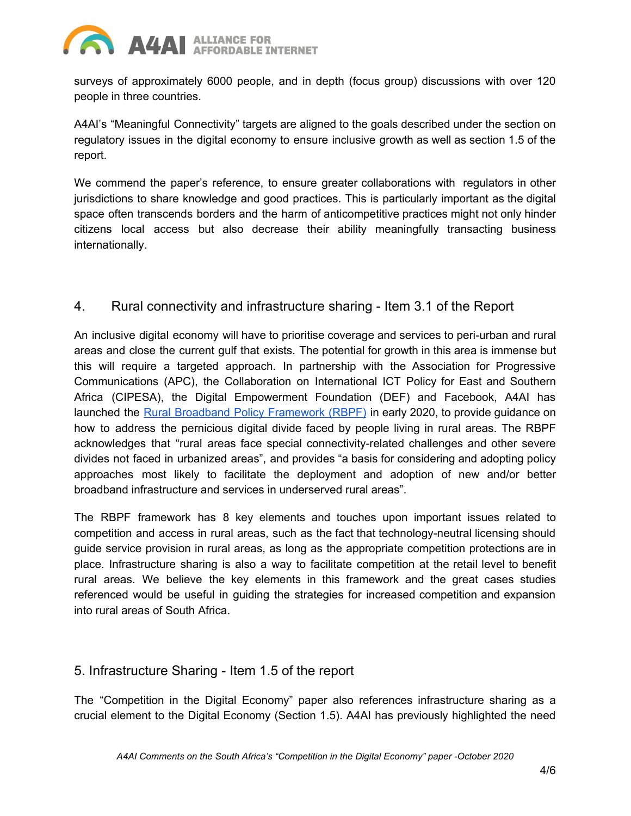

surveys of approximately 6000 people, and in depth (focus group) discussions with over 120 people in three countries.

A4AI's "Meaningful Connectivity" targets are aligned to the goals described under the section on regulatory issues in the digital economy to ensure inclusive growth as well as section 1.5 of the report.

We commend the paper's reference, to ensure greater collaborations with regulators in other jurisdictions to share knowledge and good practices. This is particularly important as the digital space often transcends borders and the harm of anticompetitive practices might not only hinder citizens local access but also decrease their ability meaningfully transacting business internationally.

#### 4. Rural connectivity and infrastructure sharing - Item 3.1 of the Report

An inclusive digital economy will have to prioritise coverage and services to peri-urban and rural areas and close the current gulf that exists. The potential for growth in this area is immense but this will require a targeted approach. In partnership with the Association for Progressive Communications (APC), the Collaboration on International ICT Policy for East and Southern Africa (CIPESA), the Digital Empowerment Foundation (DEF) and Facebook, A4AI has launched the [R](https://1e8q3q16vyc81g8l3h3md6q5f5e-wpengine.netdna-ssl.com/wp-content/uploads/2020/02/Rural-Broadband-Policy-Framework-Report-web-ready.pdf)ural Broadband Policy [Framework](https://1e8q3q16vyc81g8l3h3md6q5f5e-wpengine.netdna-ssl.com/wp-content/uploads/2020/02/Rural-Broadband-Policy-Framework-Report-web-ready.pdf) (RBPF) in early 2020, to provide guidance on how to address the pernicious digital divide faced by people living in rural areas. The RBPF acknowledges that "rural areas face special connectivity-related challenges and other severe divides not faced in urbanized areas", and provides "a basis for considering and adopting policy approaches most likely to facilitate the deployment and adoption of new and/or better broadband infrastructure and services in underserved rural areas".

The RBPF framework has 8 key elements and touches upon important issues related to competition and access in rural areas, such as the fact that technology-neutral licensing should guide service provision in rural areas, as long as the appropriate competition protections are in place. Infrastructure sharing is also a way to facilitate competition at the retail level to benefit rural areas. We believe the key elements in this framework and the great cases studies referenced would be useful in guiding the strategies for increased competition and expansion into rural areas of South Africa.

#### 5. Infrastructure Sharing - Item 1.5 of the report

The "Competition in the Digital Economy" paper also references infrastructure sharing as a crucial element to the Digital Economy (Section 1.5). A4AI has previously highlighted the need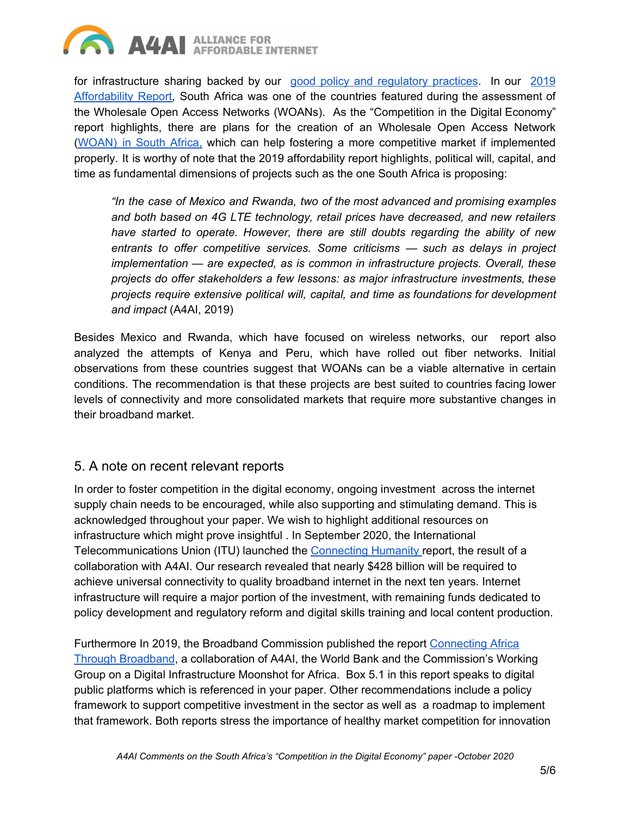

for infrastructure sharing backed by our good policy and [regulatory](https://a4ai.org/good-practices-database/?terms=infrastructure-sharing) practices. In our [2019](https://a4ai.org/affordability-report/report/2019/) [Affordability](https://a4ai.org/affordability-report/report/2019/) Report, South Africa was one of the countries featured during the assessment of the Wholesale Open Access Networks (WOANs). As the "Competition in the Digital Economy" report highlights, there are plans for the creation of an Wholesale Open Access Network ([WOAN\)](https://a4ai.org/affordability-report/report/2019/#building_wholesale_open_access_networks_for_competitive_markets) in South Africa, which can help fostering a more competitive market if implemented properly. It is worthy of note that the 2019 affordability report highlights, political will, capital, and time as fundamental dimensions of projects such as the one South Africa is proposing:

*"In the case of Mexico and Rwanda, two of the most advanced and promising examples and both based on 4G LTE technology, retail prices have decreased, and new retailers have started to operate. However, there are still doubts regarding the ability of new entrants to offer competitive services. Some criticisms — such as delays in project implementation — are expected, as is common in infrastructure projects. Overall, these projects do offer stakeholders a few lessons: as major infrastructure investments, these projects require extensive political will, capital, and time as foundations for development and impact* (A4AI, 2019)

Besides Mexico and Rwanda, which have focused on wireless networks, our report also analyzed the attempts of Kenya and Peru, which have rolled out fiber networks. Initial observations from these countries suggest that WOANs can be a viable alternative in certain conditions. The recommendation is that these projects are best suited to countries facing lower levels of connectivity and more consolidated markets that require more substantive changes in their broadband market.

#### 5. A note on recent relevant reports

In order to foster competition in the digital economy, ongoing investment across the internet supply chain needs to be encouraged, while also supporting and stimulating demand. This is acknowledged throughout your paper. We wish to highlight additional resources on infrastructure which might prove insightful . In September 2020, the International Telecommunications Union (ITU) launched the [Connecting](https://www.itu.int/en/myitu/Publications/2020/08/31/08/38/Connecting-Humanity) Humanity report, the result of a collaboration with A4AI. Our research revealed that nearly \$428 billion will be required to achieve universal connectivity to quality broadband internet in the next ten years. Internet infrastructure will require a major portion of the investment, with remaining funds dedicated to policy development and regulatory reform and digital skills training and local content production.

Furthermore In 2019, the Broadband Commission published the report [Connecting](https://www.broadbandcommission.org/Documents/working-groups/DigitalMoonshotforAfrica_Report.pdf) Africa Through [Broadband,](https://www.broadbandcommission.org/Documents/working-groups/DigitalMoonshotforAfrica_Report.pdf) a collaboration of A4AI, the World Bank and the Commission's Working Group on a Digital Infrastructure Moonshot for Africa. Box 5.1 in this report speaks to digital public platforms which is referenced in your paper. Other recommendations include a policy framework to support competitive investment in the sector as well as a roadmap to implement that framework. Both reports stress the importance of healthy market competition for innovation